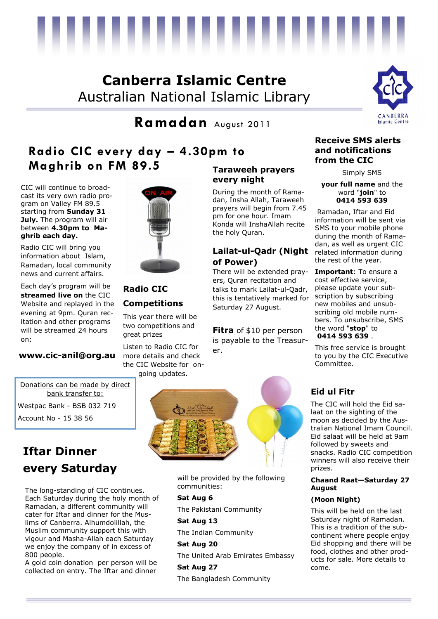

# **Canberra Islamic Centre** Australian National Islamic Library



# **Ramadan** August 2011

## **Radio CIC every day – 4.30pm to Maghrib on FM 89.5**

CIC will continue to broadcast its very own radio program on Valley FM 89.5 starting from **Sunday 31 July.** The program will air between **4.30pm to Maghrib each day.**

Radio CIC will bring you information about Islam, Ramadan, local community news and current affairs.

Each day's program will be **streamed live on** the CIC Website and replayed in the evening at 9pm. Quran recitation and other programs will be streamed 24 hours on:

## er. **www.cic-anil@org.au**



**Radio CIC Competitions**

This year there will be two competitions and great prizes Listen to Radio CIC for

more details and check the CIC Website for ongoing updates.

### **Taraweeh prayers every night**

During the month of Ramadan, Insha Allah, Taraweeh prayers will begin from 7.45 pm for one hour. Imam Konda will InshaAllah recite the holy Quran.

### **Lailat-ul-Qadr (Night of Power)**

There will be extended prayers, Quran recitation and talks to mark Lailat-ul-Qadr, this is tentatively marked for Saturday 27 August.

**Fitra** of \$10 per person is payable to the Treasur-



Simply SMS

**your full name** and the word "**join**" to **0414 593 639**

Ramadan, Iftar and Eid information will be sent via SMS to your mobile phone during the month of Ramadan, as well as urgent CIC related information during the rest of the year.

**Important**: To ensure a cost effective service, please update your subscription by subscribing new mobiles and unsubscribing old mobile numbers. To unsubscribe, SMS the word "**stop**" to **0414 593 639** .

This free service is brought to you by the CIC Executive Committee.

## **Eid ul Fitr**

The CIC will hold the Eid salaat on the sighting of the moon as decided by the Australian National Imam Council. Eid salaat will be held at 9am followed by sweets and snacks. Radio CIC competition winners will also receive their prizes.

#### **Chaand Raat—Saturday 27 August**

#### **(Moon Night)**

This will be held on the last Saturday night of Ramadan. This is a tradition of the subcontinent where people enjoy Eid shopping and there will be food, clothes and other products for sale. More details to come.

Donations can be made by direct bank transfer to: Westpac Bank - BSB 032 719

Account No - 15 38 56

# **Iftar Dinner every Saturday**

The long-standing of CIC continues. Each Saturday during the holy month of Ramadan, a different community will cater for Iftar and dinner for the Muslims of Canberra. Alhumdolillah, the Muslim community support this with vigour and Masha-Allah each Saturday we enjoy the company of in excess of 800 people.

A gold coin donation per person will be collected on entry. The Iftar and dinner



will be provided by the following communities:

#### **Sat Aug 6**

The Pakistani Community

#### **Sat Aug 13**

The Indian Community

#### **Sat Aug 20**

The United Arab Emirates Embassy

#### **Sat Aug 27** The Bangladesh Community